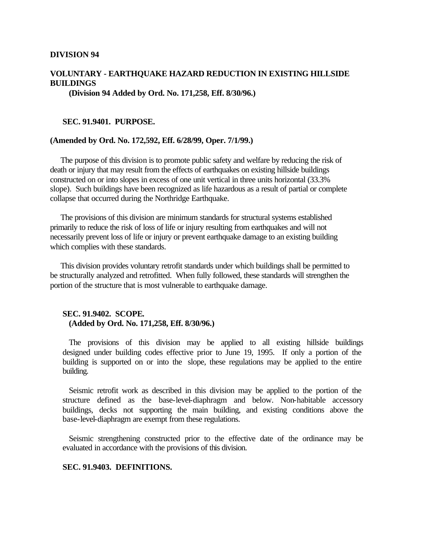#### **DIVISION 94**

# **VOLUNTARY - EARTHQUAKE HAZARD REDUCTION IN EXISTING HILLSIDE BUILDINGS**

**(Division 94 Added by Ord. No. 171,258, Eff. 8/30/96.)**

#### **SEC. 91.9401. PURPOSE.**

#### **(Amended by Ord. No. 172,592, Eff. 6/28/99, Oper. 7/1/99.)**

The purpose of this division is to promote public safety and welfare by reducing the risk of death or injury that may result from the effects of earthquakes on existing hillside buildings constructed on or into slopes in excess of one unit vertical in three units horizontal (33.3% slope). Such buildings have been recognized as life hazardous as a result of partial or complete collapse that occurred during the Northridge Earthquake.

The provisions of this division are minimum standards for structural systems established primarily to reduce the risk of loss of life or injury resulting from earthquakes and will not necessarily prevent loss of life or injury or prevent earthquake damage to an existing building which complies with these standards.

This division provides voluntary retrofit standards under which buildings shall be permitted to be structurally analyzed and retrofitted. When fully followed, these standards will strengthen the portion of the structure that is most vulnerable to earthquake damage.

#### **SEC. 91.9402. SCOPE. (Added by Ord. No. 171,258, Eff. 8/30/96.)**

The provisions of this division may be applied to all existing hillside buildings designed under building codes effective prior to June 19, 1995. If only a portion of the building is supported on or into the slope, these regulations may be applied to the entire building.

Seismic retrofit work as described in this division may be applied to the portion of the structure defined as the base-level-diaphragm and below. Non-habitable accessory buildings, decks not supporting the main building, and existing conditions above the base-level-diaphragm are exempt from these regulations.

Seismic strengthening constructed prior to the effective date of the ordinance may be evaluated in accordance with the provisions of this division.

#### **SEC. 91.9403. DEFINITIONS.**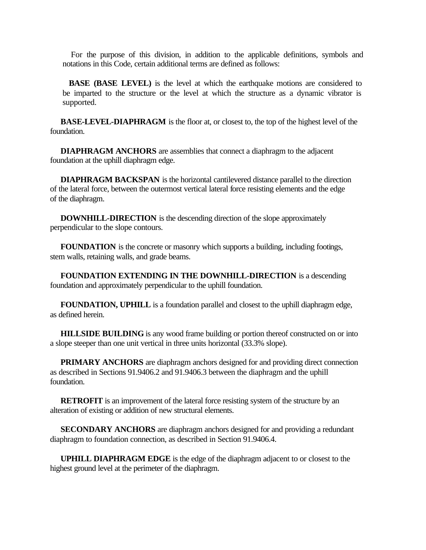For the purpose of this division, in addition to the applicable definitions, symbols and notations in this Code, certain additional terms are defined as follows:

**BASE (BASE LEVEL)** is the level at which the earthquake motions are considered to be imparted to the structure or the level at which the structure as a dynamic vibrator is supported.

**BASE-LEVEL-DIAPHRAGM** is the floor at, or closest to, the top of the highest level of the foundation.

**DIAPHRAGM ANCHORS** are assemblies that connect a diaphragm to the adjacent foundation at the uphill diaphragm edge.

**DIAPHRAGM BACKSPAN** is the horizontal cantilevered distance parallel to the direction of the lateral force, between the outermost vertical lateral force resisting elements and the edge of the diaphragm.

**DOWNHILL-DIRECTION** is the descending direction of the slope approximately perpendicular to the slope contours.

**FOUNDATION** is the concrete or masonry which supports a building, including footings, stem walls, retaining walls, and grade beams.

**FOUNDATION EXTENDING IN THE DOWNHILL-DIRECTION** is a descending foundation and approximately perpendicular to the uphill foundation.

**FOUNDATION, UPHILL** is a foundation parallel and closest to the uphill diaphragm edge, as defined herein.

**HILLSIDE BUILDING** is any wood frame building or portion thereof constructed on or into a slope steeper than one unit vertical in three units horizontal (33.3% slope).

**PRIMARY ANCHORS** are diaphragm anchors designed for and providing direct connection as described in Sections 91.9406.2 and 91.9406.3 between the diaphragm and the uphill foundation.

**RETROFIT** is an improvement of the lateral force resisting system of the structure by an alteration of existing or addition of new structural elements.

**SECONDARY ANCHORS** are diaphragm anchors designed for and providing a redundant diaphragm to foundation connection, as described in Section 91.9406.4.

**UPHILL DIAPHRAGM EDGE** is the edge of the diaphragm adjacent to or closest to the highest ground level at the perimeter of the diaphragm.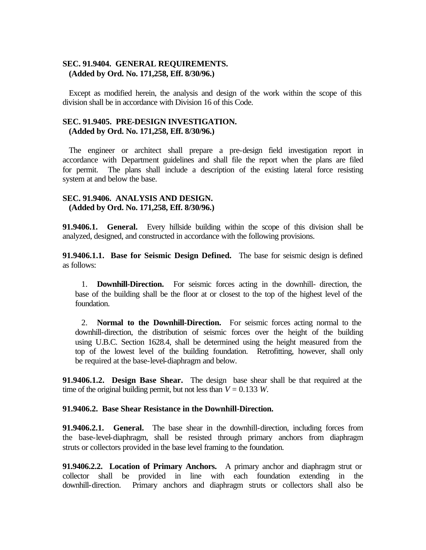## **SEC. 91.9404. GENERAL REQUIREMENTS. (Added by Ord. No. 171,258, Eff. 8/30/96.)**

Except as modified herein, the analysis and design of the work within the scope of this division shall be in accordance with Division 16 of this Code.

## **SEC. 91.9405. PRE-DESIGN INVESTIGATION. (Added by Ord. No. 171,258, Eff. 8/30/96.)**

The engineer or architect shall prepare a pre-design field investigation report in accordance with Department guidelines and shall file the report when the plans are filed for permit. The plans shall include a description of the existing lateral force resisting system at and below the base.

## **SEC. 91.9406. ANALYSIS AND DESIGN. (Added by Ord. No. 171,258, Eff. 8/30/96.)**

**91.9406.1. General.** Every hillside building within the scope of this division shall be analyzed, designed, and constructed in accordance with the following provisions.

**91.9406.1.1. Base for Seismic Design Defined.** The base for seismic design is defined as follows:

1. **Downhill-Direction.** For seismic forces acting in the downhill- direction, the base of the building shall be the floor at or closest to the top of the highest level of the foundation.

2. **Normal to the Downhill-Direction.** For seismic forces acting normal to the downhill-direction, the distribution of seismic forces over the height of the building using U.B.C. Section 1628.4, shall be determined using the height measured from the top of the lowest level of the building foundation. Retrofitting, however, shall only be required at the base-level-diaphragm and below.

**91.9406.1.2. Design Base Shear.** The design base shear shall be that required at the time of the original building permit, but not less than  $V = 0.133$  *W*.

#### **91.9406.2. Base Shear Resistance in the Downhill-Direction.**

**91.9406.2.1. General.** The base shear in the downhill-direction, including forces from the base-level-diaphragm, shall be resisted through primary anchors from diaphragm struts or collectors provided in the base level framing to the foundation.

**91.9406.2.2. Location of Primary Anchors.** A primary anchor and diaphragm strut or collector shall be provided in line with each foundation extending in the downhill-direction. Primary anchors and diaphragm struts or collectors shall also be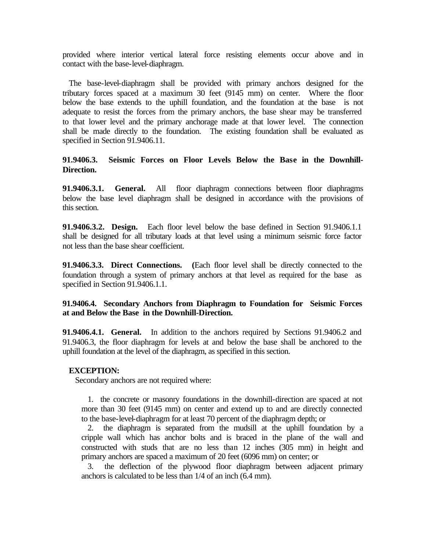provided where interior vertical lateral force resisting elements occur above and in contact with the base-level-diaphragm.

The base-level-diaphragm shall be provided with primary anchors designed for the tributary forces spaced at a maximum 30 feet (9145 mm) on center. Where the floor below the base extends to the uphill foundation, and the foundation at the base is not adequate to resist the forces from the primary anchors, the base shear may be transferred to that lower level and the primary anchorage made at that lower level. The connection shall be made directly to the foundation. The existing foundation shall be evaluated as specified in Section 91.9406.11.

# **91.9406.3. Seismic Forces on Floor Levels Below the Base in the Downhill-Direction.**

**91.9406.3.1. General.** All floor diaphragm connections between floor diaphragms below the base level diaphragm shall be designed in accordance with the provisions of this section.

**91.9406.3.2. Design.** Each floor level below the base defined in Section 91.9406.1.1 shall be designed for all tributary loads at that level using a minimum seismic force factor not less than the base shear coefficient.

**91.9406.3.3. Direct Connections. (**Each floor level shall be directly connected to the foundation through a system of primary anchors at that level as required for the base as specified in Section 91.9406.1.1.

## **91.9406.4. Secondary Anchors from Diaphragm to Foundation for Seismic Forces at and Below the Base in the Downhill-Direction.**

**91.9406.4.1. General.** In addition to the anchors required by Sections 91.9406.2 and 91.9406.3, the floor diaphragm for levels at and below the base shall be anchored to the uphill foundation at the level of the diaphragm, as specified in this section.

## **EXCEPTION:**

Secondary anchors are not required where:

1. the concrete or masonry foundations in the downhill-direction are spaced at not more than 30 feet (9145 mm) on center and extend up to and are directly connected to the base-level-diaphragm for at least 70 percent of the diaphragm depth; or

2. the diaphragm is separated from the mudsill at the uphill foundation by a cripple wall which has anchor bolts and is braced in the plane of the wall and constructed with studs that are no less than 12 inches (305 mm) in height and primary anchors are spaced a maximum of 20 feet (6096 mm) on center; or

3. the deflection of the plywood floor diaphragm between adjacent primary anchors is calculated to be less than 1/4 of an inch (6.4 mm).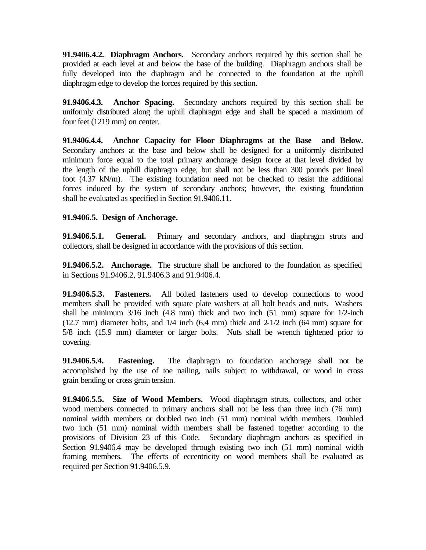**91.9406.4.2. Diaphragm Anchors.** Secondary anchors required by this section shall be provided at each level at and below the base of the building. Diaphragm anchors shall be fully developed into the diaphragm and be connected to the foundation at the uphill diaphragm edge to develop the forces required by this section.

**91.9406.4.3. Anchor Spacing.** Secondary anchors required by this section shall be uniformly distributed along the uphill diaphragm edge and shall be spaced a maximum of four feet (1219 mm) on center.

**91.9406.4.4. Anchor Capacity for Floor Diaphragms at the Base and Below.**  Secondary anchors at the base and below shall be designed for a uniformly distributed minimum force equal to the total primary anchorage design force at that level divided by the length of the uphill diaphragm edge, but shall not be less than 300 pounds per lineal foot (4.37 kN/m). The existing foundation need not be checked to resist the additional forces induced by the system of secondary anchors; however, the existing foundation shall be evaluated as specified in Section 91.9406.11.

# **91.9406.5. Design of Anchorage.**

**91.9406.5.1. General.** Primary and secondary anchors, and diaphragm struts and collectors, shall be designed in accordance with the provisions of this section.

**91.9406.5.2. Anchorage.** The structure shall be anchored to the foundation as specified in Sections 91.9406.2, 91.9406.3 and 91.9406.4.

**91.9406.5.3. Fasteners.** All bolted fasteners used to develop connections to wood members shall be provided with square plate washers at all bolt heads and nuts. Washers shall be minimum 3/16 inch (4.8 mm) thick and two inch (51 mm) square for 1/2-inch (12.7 mm) diameter bolts, and 1/4 inch (6.4 mm) thick and 2-1/2 inch (64 mm) square for 5/8 inch (15.9 mm) diameter or larger bolts. Nuts shall be wrench tightened prior to covering.

**91.9406.5.4. Fastening.** The diaphragm to foundation anchorage shall not be accomplished by the use of toe nailing, nails subject to withdrawal, or wood in cross grain bending or cross grain tension.

**91.9406.5.5. Size of Wood Members.** Wood diaphragm struts, collectors, and other wood members connected to primary anchors shall not be less than three inch (76 mm) nominal width members or doubled two inch (51 mm) nominal width members. Doubled two inch (51 mm) nominal width members shall be fastened together according to the provisions of Division 23 of this Code. Secondary diaphragm anchors as specified in Section 91.9406.4 may be developed through existing two inch (51 mm) nominal width framing members. The effects of eccentricity on wood members shall be evaluated as required per Section 91.9406.5.9.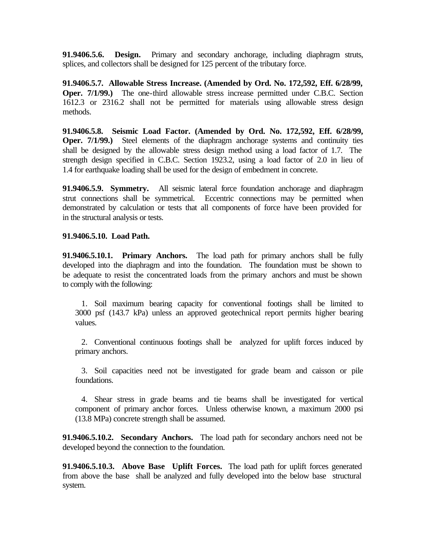**91.9406.5.6. Design.** Primary and secondary anchorage, including diaphragm struts, splices, and collectors shall be designed for 125 percent of the tributary force.

**91.9406.5.7. Allowable Stress Increase. (Amended by Ord. No. 172,592, Eff. 6/28/99, Oper.** 7/1/99.) The one-third allowable stress increase permitted under C.B.C. Section 1612.3 or 2316.2 shall not be permitted for materials using allowable stress design methods.

**91.9406.5.8. Seismic Load Factor. (Amended by Ord. No. 172,592, Eff. 6/28/99, Oper.** 7/1/99.) Steel elements of the diaphragm anchorage systems and continuity ties shall be designed by the allowable stress design method using a load factor of 1.7. The strength design specified in C.B.C. Section 1923.2, using a load factor of 2.0 in lieu of 1.4 for earthquake loading shall be used for the design of embedment in concrete.

**91.9406.5.9. Symmetry.** All seismic lateral force foundation anchorage and diaphragm strut connections shall be symmetrical. Eccentric connections may be permitted when demonstrated by calculation or tests that all components of force have been provided for in the structural analysis or tests.

## **91.9406.5.10. Load Path.**

**91.9406.5.10.1. Primary Anchors.** The load path for primary anchors shall be fully developed into the diaphragm and into the foundation. The foundation must be shown to be adequate to resist the concentrated loads from the primary anchors and must be shown to comply with the following:

1. Soil maximum bearing capacity for conventional footings shall be limited to 3000 psf (143.7 kPa) unless an approved geotechnical report permits higher bearing values.

2. Conventional continuous footings shall be analyzed for uplift forces induced by primary anchors.

3. Soil capacities need not be investigated for grade beam and caisson or pile foundations.

4. Shear stress in grade beams and tie beams shall be investigated for vertical component of primary anchor forces. Unless otherwise known, a maximum 2000 psi (13.8 MPa) concrete strength shall be assumed.

**91.9406.5.10.2. Secondary Anchors.** The load path for secondary anchors need not be developed beyond the connection to the foundation.

**91.9406.5.10.3. Above Base Uplift Forces.** The load path for uplift forces generated from above the base shall be analyzed and fully developed into the below base structural system.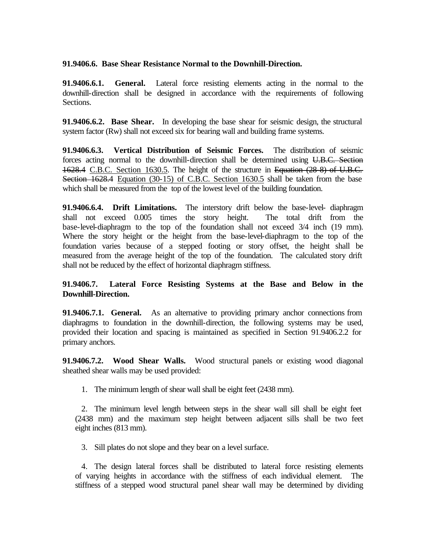#### **91.9406.6. Base Shear Resistance Normal to the Downhill-Direction.**

**91.9406.6.1. General.** Lateral force resisting elements acting in the normal to the downhill-direction shall be designed in accordance with the requirements of following Sections.

**91.9406.6.2. Base Shear.** In developing the base shear for seismic design, the structural system factor (Rw) shall not exceed six for bearing wall and building frame systems.

**91.9406.6.3. Vertical Distribution of Seismic Forces.** The distribution of seismic forces acting normal to the downhill-direction shall be determined using U.B.C. Section 1628.4 C.B.C. Section 1630.5. The height of the structure in Equation (28-8) of U.B.C. Section 1628.4 Equation (30-15) of C.B.C. Section 1630.5 shall be taken from the base which shall be measured from the top of the lowest level of the building foundation.

**91.9406.6.4. Drift Limitations.** The interstory drift below the base-level- diaphragm shall not exceed 0.005 times the story height. The total drift from the base-level-diaphragm to the top of the foundation shall not exceed 3/4 inch (19 mm). Where the story height or the height from the base-level-diaphragm to the top of the foundation varies because of a stepped footing or story offset, the height shall be measured from the average height of the top of the foundation. The calculated story drift shall not be reduced by the effect of horizontal diaphragm stiffness.

# **91.9406.7. Lateral Force Resisting Systems at the Base and Below in the Downhill-Direction.**

**91.9406.7.1. General.** As an alternative to providing primary anchor connections from diaphragms to foundation in the downhill-direction, the following systems may be used, provided their location and spacing is maintained as specified in Section 91.9406.2.2 for primary anchors.

**91.9406.7.2. Wood Shear Walls.** Wood structural panels or existing wood diagonal sheathed shear walls may be used provided:

1. The minimum length of shear wall shall be eight feet (2438 mm).

2. The minimum level length between steps in the shear wall sill shall be eight feet (2438 mm) and the maximum step height between adjacent sills shall be two feet eight inches (813 mm).

3. Sill plates do not slope and they bear on a level surface.

4. The design lateral forces shall be distributed to lateral force resisting elements of varying heights in accordance with the stiffness of each individual element. The stiffness of a stepped wood structural panel shear wall may be determined by dividing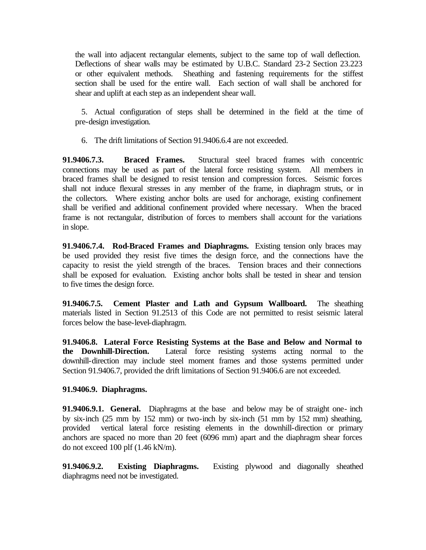the wall into adjacent rectangular elements, subject to the same top of wall deflection. Deflections of shear walls may be estimated by U.B.C. Standard 23-2 Section 23.223 or other equivalent methods. Sheathing and fastening requirements for the stiffest section shall be used for the entire wall. Each section of wall shall be anchored for shear and uplift at each step as an independent shear wall.

5. Actual configuration of steps shall be determined in the field at the time of pre-design investigation.

6. The drift limitations of Section 91.9406.6.4 are not exceeded.

**91.9406.7.3. Braced Frames.** Structural steel braced frames with concentric connections may be used as part of the lateral force resisting system. All members in braced frames shall be designed to resist tension and compression forces. Seismic forces shall not induce flexural stresses in any member of the frame, in diaphragm struts, or in the collectors. Where existing anchor bolts are used for anchorage, existing confinement shall be verified and additional confinement provided where necessary. When the braced frame is not rectangular, distribution of forces to members shall account for the variations in slope.

**91.9406.7.4. Rod-Braced Frames and Diaphragms.** Existing tension only braces may be used provided they resist five times the design force, and the connections have the capacity to resist the yield strength of the braces. Tension braces and their connections shall be exposed for evaluation. Existing anchor bolts shall be tested in shear and tension to five times the design force.

**91.9406.7.5. Cement Plaster and Lath and Gypsum Wallboard.** The sheathing materials listed in Section 91.2513 of this Code are not permitted to resist seismic lateral forces below the base-level-diaphragm.

**91.9406.8. Lateral Force Resisting Systems at the Base and Below and Normal to the Downhill-Direction.** Lateral force resisting systems acting normal to the downhill-direction may include steel moment frames and those systems permitted under Section 91.9406.7, provided the drift limitations of Section 91.9406.6 are not exceeded.

# **91.9406.9. Diaphragms.**

**91.9406.9.1. General.** Diaphragms at the base and below may be of straight one- inch by six-inch (25 mm by 152 mm) or two-inch by six-inch (51 mm by 152 mm) sheathing, provided vertical lateral force resisting elements in the downhill-direction or primary anchors are spaced no more than 20 feet (6096 mm) apart and the diaphragm shear forces do not exceed 100 plf (1.46 kN/m).

**91.9406.9.2. Existing Diaphragms.** Existing plywood and diagonally sheathed diaphragms need not be investigated.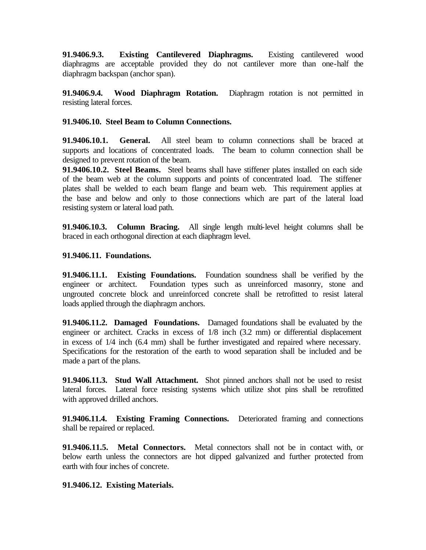**91.9406.9.3. Existing Cantilevered Diaphragms.** Existing cantilevered wood diaphragms are acceptable provided they do not cantilever more than one-half the diaphragm backspan (anchor span).

**91.9406.9.4. Wood Diaphragm Rotation.** Diaphragm rotation is not permitted in resisting lateral forces.

# **91.9406.10. Steel Beam to Column Connections.**

**91.9406.10.1. General.** All steel beam to column connections shall be braced at supports and locations of concentrated loads. The beam to column connection shall be designed to prevent rotation of the beam.

**91.9406.10.2. Steel Beams.** Steel beams shall have stiffener plates installed on each side of the beam web at the column supports and points of concentrated load. The stiffener plates shall be welded to each beam flange and beam web. This requirement applies at the base and below and only to those connections which are part of the lateral load resisting system or lateral load path.

**91.9406.10.3. Column Bracing.** All single length multi-level height columns shall be braced in each orthogonal direction at each diaphragm level.

## **91.9406.11. Foundations.**

**91.9406.11.1. Existing Foundations.** Foundation soundness shall be verified by the engineer or architect. Foundation types such as unreinforced masonry, stone and ungrouted concrete block and unreinforced concrete shall be retrofitted to resist lateral loads applied through the diaphragm anchors.

**91.9406.11.2. Damaged Foundations.** Damaged foundations shall be evaluated by the engineer or architect. Cracks in excess of 1/8 inch (3.2 mm) or differential displacement in excess of 1/4 inch (6.4 mm) shall be further investigated and repaired where necessary. Specifications for the restoration of the earth to wood separation shall be included and be made a part of the plans.

**91.9406.11.3. Stud Wall Attachment.** Shot pinned anchors shall not be used to resist lateral forces. Lateral force resisting systems which utilize shot pins shall be retrofitted with approved drilled anchors.

**91.9406.11.4. Existing Framing Connections.** Deteriorated framing and connections shall be repaired or replaced.

**91.9406.11.5. Metal Connectors.** Metal connectors shall not be in contact with, or below earth unless the connectors are hot dipped galvanized and further protected from earth with four inches of concrete.

## **91.9406.12. Existing Materials.**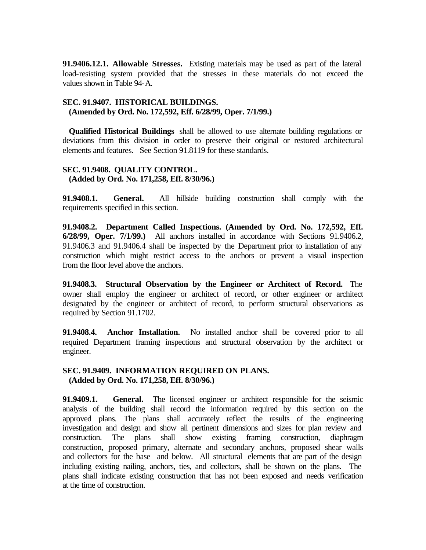**91.9406.12.1. Allowable Stresses.** Existing materials may be used as part of the lateral load-resisting system provided that the stresses in these materials do not exceed the values shown in Table 94-A.

## **SEC. 91.9407. HISTORICAL BUILDINGS. (Amended by Ord. No. 172,592, Eff. 6/28/99, Oper. 7/1/99.)**

**Qualified Historical Buildings** shall be allowed to use alternate building regulations or deviations from this division in order to preserve their original or restored architectural elements and features. See Section 91.8119 for these standards.

#### **SEC. 91.9408. QUALITY CONTROL. (Added by Ord. No. 171,258, Eff. 8/30/96.)**

**91.9408.1. General.** All hillside building construction shall comply with the requirements specified in this section.

**91.9408.2. Department Called Inspections. (Amended by Ord. No. 172,592, Eff. 6/28/99, Oper. 7/1/99.)** All anchors installed in accordance with Sections 91.9406.2, 91.9406.3 and 91.9406.4 shall be inspected by the Department prior to installation of any construction which might restrict access to the anchors or prevent a visual inspection from the floor level above the anchors.

**91.9408.3. Structural Observation by the Engineer or Architect of Record.** The owner shall employ the engineer or architect of record, or other engineer or architect designated by the engineer or architect of record, to perform structural observations as required by Section 91.1702.

**91.9408.4. Anchor Installation.** No installed anchor shall be covered prior to all required Department framing inspections and structural observation by the architect or engineer.

#### **SEC. 91.9409. INFORMATION REQUIRED ON PLANS. (Added by Ord. No. 171,258, Eff. 8/30/96.)**

**91.9409.1. General.** The licensed engineer or architect responsible for the seismic analysis of the building shall record the information required by this section on the approved plans. The plans shall accurately reflect the results of the engineering investigation and design and show all pertinent dimensions and sizes for plan review and construction. The plans shall show existing framing construction, diaphragm construction, proposed primary, alternate and secondary anchors, proposed shear walls and collectors for the base and below. All structural elements that are part of the design including existing nailing, anchors, ties, and collectors, shall be shown on the plans. The plans shall indicate existing construction that has not been exposed and needs verification at the time of construction.